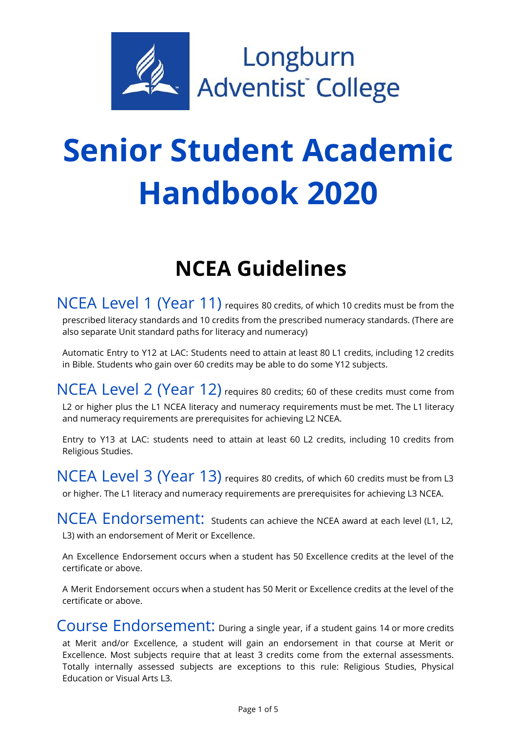

# **Senior Student Academic Handbook 2020**

# **NCEA Guidelines**

NCEA Level 1 (Year 11) requires <sup>80</sup> credits, of which <sup>10</sup> credits must be from the prescribed literacy standards and 10 credits from the prescribed numeracy standards. (There are also separate Unit standard paths for literacy and numeracy)

Automatic Entry to Y12 at LAC: Students need to attain at least 80 L1 credits, including 12 credits in Bible. Students who gain over 60 credits may be able to do some Y12 subjects.

NCEA Level 2 (Year 12) requires 80 credits; 60 of these credits must come from L2 or higher plus the L1 NCEA literacy and numeracy requirements must be met. The L1 literacy and numeracy requirements are prerequisites for achieving L2 NCEA.

Entry to Y13 at LAC: students need to attain at least 60 L2 credits, including 10 credits from Religious Studies.

NCEA Level 3 (Year 13) requires 80 credits, of which 60 credits must be from L3 or higher. The L1 literacy and numeracy requirements are prerequisites for achieving L3 NCEA.

NCEA Endorsement: Students can achieve the NCEA award at each level (L1, L2, L3) with an endorsement of Merit or Excellence.

An Excellence Endorsement occurs when a student has 50 Excellence credits at the level of the certificate or above.

A Merit Endorsement occurs when a student has 50 Merit or Excellence credits at the level of the certificate or above.

Course Endorsement: During a single year, if a student gains 14 or more credits at Merit and/or Excellence, a student will gain an endorsement in that course at Merit or Excellence. Most subjects require that at least 3 credits come from the external assessments. Totally internally assessed subjects are exceptions to this rule: Religious Studies, Physical Education or Visual Arts L3.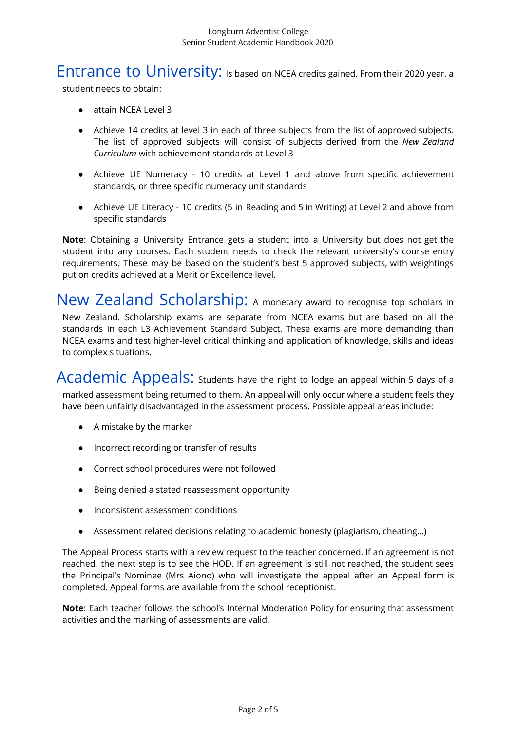## Entrance to University: Is based on NCEA credits gained. From their 2020 year, a

student needs to obtain:

- attain NCEA Level 3
- Achieve 14 credits at level 3 in each of three subjects from the list of approved subjects. The list of approved subjects will consist of subjects derived from the *New Zealand Curriculum* with achievement standards at Level 3
- Achieve UE Numeracy 10 credits at Level 1 and above from specific achievement standards, or three specific numeracy unit standards
- Achieve UE Literacy 10 credits (5 in Reading and 5 in Writing) at Level 2 and above from specific standards

**Note**: Obtaining a University Entrance gets a student into a University but does not get the student into any courses. Each student needs to check the relevant university's course entry requirements. These may be based on the student's best 5 approved subjects, with weightings put on credits achieved at a Merit or Excellence level.

New Zealand Scholarship: <sup>A</sup> monetary award to recognise top scholars in New Zealand. Scholarship exams are separate from NCEA exams but are based on all the standards in each L3 Achievement Standard Subject. These exams are more demanding than NCEA exams and test higher-level critical thinking and application of knowledge, skills and ideas to complex situations.

Academic Appeals: Students have the right to lodge an appeal within 5 days of a marked assessment being returned to them. An appeal will only occur where a student feels they have been unfairly disadvantaged in the assessment process. Possible appeal areas include:

- A mistake by the marker
- Incorrect recording or transfer of results
- Correct school procedures were not followed
- Being denied a stated reassessment opportunity
- Inconsistent assessment conditions
- Assessment related decisions relating to academic honesty (plagiarism, cheating…)

The Appeal Process starts with a review request to the teacher concerned. If an agreement is not reached, the next step is to see the HOD. If an agreement is still not reached, the student sees the Principal's Nominee (Mrs Aiono) who will investigate the appeal after an Appeal form is completed. Appeal forms are available from the school receptionist.

**Note**: Each teacher follows the school's Internal Moderation Policy for ensuring that assessment activities and the marking of assessments are valid.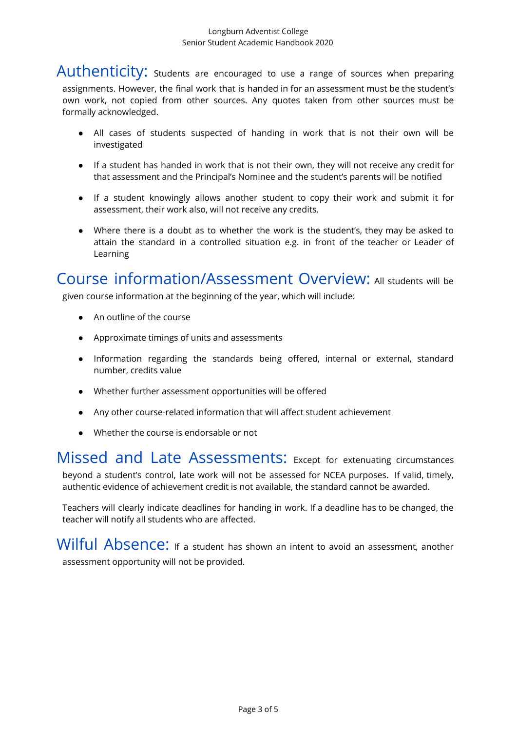Authenticity: students are encouraged to use a range of sources when preparing assignments. However, the final work that is handed in for an assessment must be the student's own work, not copied from other sources. Any quotes taken from other sources must be formally acknowledged.

- All cases of students suspected of handing in work that is not their own will be investigated
- If a student has handed in work that is not their own, they will not receive any credit for that assessment and the Principal's Nominee and the student's parents will be notified
- If a student knowingly allows another student to copy their work and submit it for assessment, their work also, will not receive any credits.
- Where there is a doubt as to whether the work is the student's, they may be asked to attain the standard in a controlled situation e.g. in front of the teacher or Leader of Learning

Course information/Assessment Overview: All students will be

given course information at the beginning of the year, which will include:

- An outline of the course
- Approximate timings of units and assessments
- Information regarding the standards being offered, internal or external, standard number, credits value
- Whether further assessment opportunities will be offered
- Any other course-related information that will affect student achievement
- Whether the course is endorsable or not

Missed and Late Assessments: Except for extenuating circumstances beyond a student's control, late work will not be assessed for NCEA purposes. If valid, timely, authentic evidence of achievement credit is not available, the standard cannot be awarded.

Teachers will clearly indicate deadlines for handing in work. If a deadline has to be changed, the teacher will notify all students who are affected.

Wilful Absence: If a student has shown an intent to avoid an assessment, another assessment opportunity will not be provided.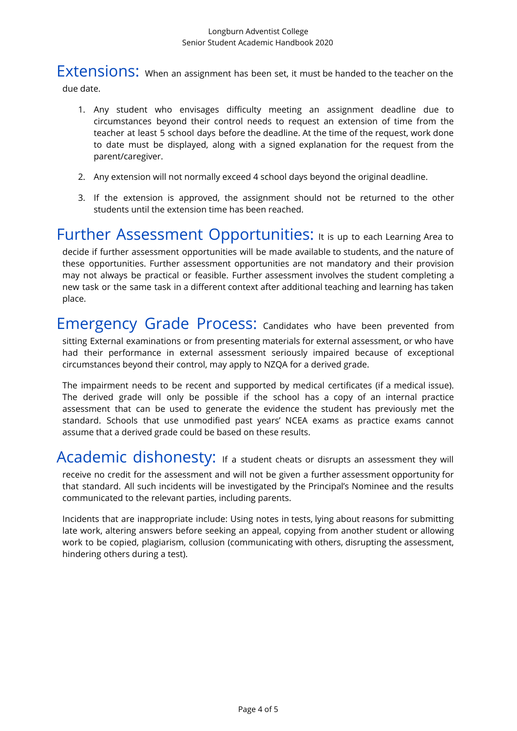#### Longburn Adventist College Senior Student Academic Handbook 2020

Extensions: When an assignment has been set, it must be handed to the teacher on the due date.

- 1. Any student who envisages difficulty meeting an assignment deadline due to circumstances beyond their control needs to request an extension of time from the teacher at least 5 school days before the deadline. At the time of the request, work done to date must be displayed, along with a signed explanation for the request from the parent/caregiver.
- 2. Any extension will not normally exceed 4 school days beyond the original deadline.
- 3. If the extension is approved, the assignment should not be returned to the other students until the extension time has been reached.

Further Assessment Opportunities: It is up to each Learning Area to decide if further assessment opportunities will be made available to students, and the nature of these opportunities. Further assessment opportunities are not mandatory and their provision may not always be practical or feasible. Further assessment involves the student completing a new task or the same task in a different context after additional teaching and learning has taken place.

Emergency Grade Process: Candidates who have been prevented from sitting External examinations or from presenting materials for external assessment, or who have had their performance in external assessment seriously impaired because of exceptional circumstances beyond their control, may apply to NZQA for a derived grade.

The impairment needs to be recent and supported by medical certificates (if a medical issue). The derived grade will only be possible if the school has a copy of an internal practice assessment that can be used to generate the evidence the student has previously met the standard. Schools that use unmodified past years' NCEA exams as practice exams cannot assume that a derived grade could be based on these results.

Academic dishonesty: If a student cheats or disrupts an assessment they will receive no credit for the assessment and will not be given a further assessment opportunity for that standard. All such incidents will be investigated by the Principal's Nominee and the results communicated to the relevant parties, including parents.

Incidents that are inappropriate include: Using notes in tests, lying about reasons for submitting late work, altering answers before seeking an appeal, copying from another student or allowing work to be copied, plagiarism, collusion (communicating with others, disrupting the assessment, hindering others during a test).